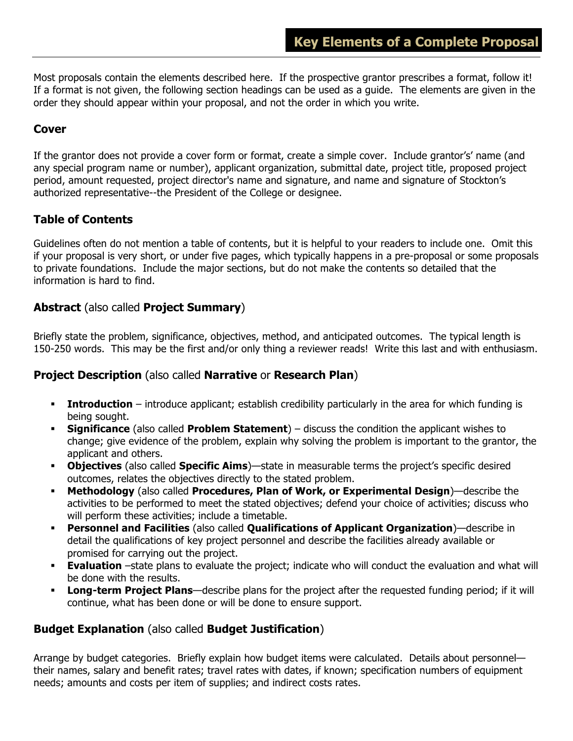Most proposals contain the elements described here. If the prospective grantor prescribes a format, follow it! If a format is not given, the following section headings can be used as a guide. The elements are given in the order they should appear within your proposal, and not the order in which you write.

# **Cover**

If the grantor does not provide a cover form or format, create a simple cover. Include grantor's' name (and any special program name or number), applicant organization, submittal date, project title, proposed project period, amount requested, project director's name and signature, and name and signature of Stockton's authorized representative--the President of the College or designee.

# **Table of Contents**

Guidelines often do not mention a table of contents, but it is helpful to your readers to include one. Omit this if your proposal is very short, or under five pages, which typically happens in a pre-proposal or some proposals to private foundations. Include the major sections, but do not make the contents so detailed that the information is hard to find.

### **Abstract** (also called **Project Summary**)

Briefly state the problem, significance, objectives, method, and anticipated outcomes. The typical length is 150-250 words. This may be the first and/or only thing a reviewer reads! Write this last and with enthusiasm.

### **Project Description** (also called **Narrative** or **Research Plan**)

- **Introduction** introduce applicant; establish credibility particularly in the area for which funding is being sought.
- § **Significance** (also called **Problem Statement**) discuss the condition the applicant wishes to change; give evidence of the problem, explain why solving the problem is important to the grantor, the applicant and others.
- § **Objectives** (also called **Specific Aims**)—state in measurable terms the project's specific desired outcomes, relates the objectives directly to the stated problem.
- § **Methodology** (also called **Procedures, Plan of Work, or Experimental Design**)—describe the activities to be performed to meet the stated objectives; defend your choice of activities; discuss who will perform these activities; include a timetable.
- § **Personnel and Facilities** (also called **Qualifications of Applicant Organization**)—describe in detail the qualifications of key project personnel and describe the facilities already available or promised for carrying out the project.
- **Evaluation** –state plans to evaluate the project; indicate who will conduct the evaluation and what will be done with the results.
- **Long-term Project Plans**—describe plans for the project after the requested funding period; if it will continue, what has been done or will be done to ensure support.

### **Budget Explanation** (also called **Budget Justification**)

Arrange by budget categories. Briefly explain how budget items were calculated. Details about personnel their names, salary and benefit rates; travel rates with dates, if known; specification numbers of equipment needs; amounts and costs per item of supplies; and indirect costs rates.